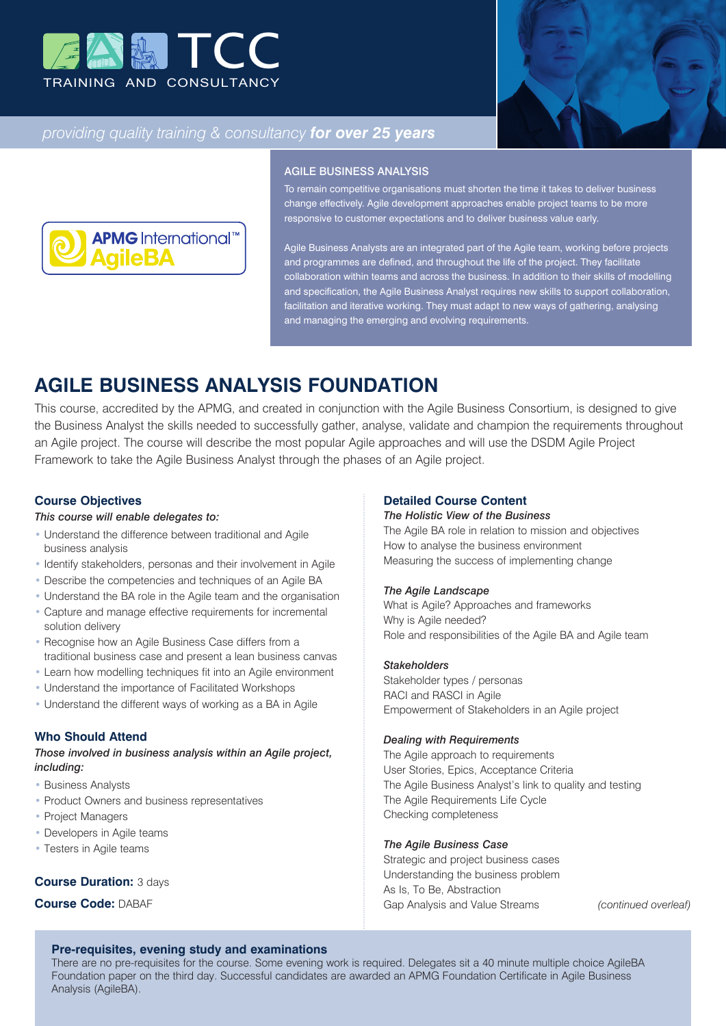



# *providing quality training & consultancy for over 25 years*



#### AGILE BUSINESS ANALYSIS

To remain competitive organisations must shorten the time it takes to deliver business change effectively. Agile development approaches enable project teams to be more responsive to customer expectations and to deliver business value early.

Agile Business Analysts are an integrated part of the Agile team, working before projects and programmes are defined, and throughout the life of the project. They facilitate collaboration within teams and across the business. In addition to their skills of modelling and specification, the Agile Business Analyst requires new skills to support collaboration, facilitation and iterative working. They must adapt to new ways of gathering, analysing and managing the emerging and evolving requirements.

# **AGILE BUSINESS ANALYSIS FOUNDATION**

This course, accredited by the APMG, and created in conjunction with the Agile Business Consortium, is designed to give the Business Analyst the skills needed to successfully gather, analyse, validate and champion the requirements throughout an Agile project. The course will describe the most popular Agile approaches and will use the DSDM Agile Project Framework to take the Agile Business Analyst through the phases of an Agile project.

# **Course Objectives**

#### *This course will enable delegates to:*

- Understand the difference between traditional and Agile business analysis
- Identify stakeholders, personas and their involvement in Agile
- Describe the competencies and techniques of an Agile BA
- Understand the BA role in the Agile team and the organisation
- Capture and manage effective requirements for incremental solution delivery
- Recognise how an Agile Business Case differs from a traditional business case and present a lean business canvas
- Learn how modelling techniques fit into an Agile environment
- Understand the importance of Facilitated Workshops
- Understand the different ways of working as a BA in Agile

### **Who Should Attend**

*Those involved in business analysis within an Agile project, including:*

- Business Analysts
- Product Owners and business representatives
- Project Managers
- Developers in Agile teams
- Testers in Agile teams

### **Course Duration:** 3 days

**Course Code:** DABAF

#### **Detailed Course Content**

#### *The Holistic View of the Business*

The Agile BA role in relation to mission and objectives How to analyse the business environment Measuring the success of implementing change

#### *The Agile Landscape*

What is Agile? Approaches and frameworks Why is Agile needed? Role and responsibilities of the Agile BA and Agile team

#### *Stakeholders*

Stakeholder types / personas RACI and RASCI in Agile Empowerment of Stakeholders in an Agile project

#### *Dealing with Requirements*

The Agile approach to requirements User Stories, Epics, Acceptance Criteria The Agile Business Analyst's link to quality and testing The Agile Requirements Life Cycle Checking completeness

### *The Agile Business Case*

Strategic and project business cases Understanding the business problem As Is, To Be, Abstraction Gap Analysis and Value Streams *(continued overleaf)*

# **Pre-requisites, evening study and examinations**

There are no pre-requisites for the course. Some evening work is required. Delegates sit a 40 minute multiple choice AgileBA Foundation paper on the third day. Successful candidates are awarded an APMG Foundation Certificate in Agile Business Analysis (AgileBA).